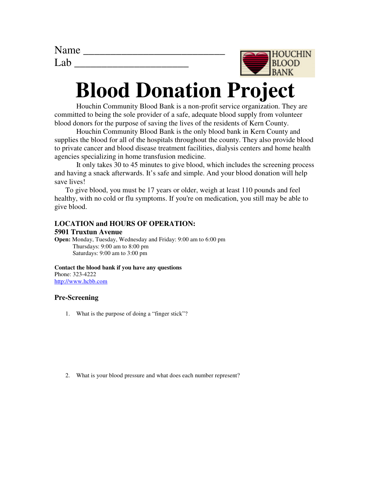| Name             |  |
|------------------|--|
| I <sub>a</sub> h |  |



# **Blood Donation Project**

Houchin Community Blood Bank is a non-profit service organization. They are committed to being the sole provider of a safe, adequate blood supply from volunteer blood donors for the purpose of saving the lives of the residents of Kern County.

 Houchin Community Blood Bank is the only blood bank in Kern County and supplies the blood for all of the hospitals throughout the county. They also provide blood to private cancer and blood disease treatment facilities, dialysis centers and home health agencies specializing in home transfusion medicine.

 It only takes 30 to 45 minutes to give blood, which includes the screening process and having a snack afterwards. It's safe and simple. And your blood donation will help save lives!

 To give blood, you must be 17 years or older, weigh at least 110 pounds and feel healthy, with no cold or flu symptoms. If you're on medication, you still may be able to give blood.

# **LOCATION and HOURS OF OPERATION:**

#### **5901 Truxtun Avenue**

**Open:** Monday, Tuesday, Wednesday and Friday: 9:00 am to 6:00 pm Thursdays: 9:00 am to 8:00 pm Saturdays: 9:00 am to 3:00 pm

**Contact the blood bank if you have any questions** Phone: 323-4222 http://www.hcbb.com

# **Pre-Screening**

1. What is the purpose of doing a "finger stick"?

2. What is your blood pressure and what does each number represent?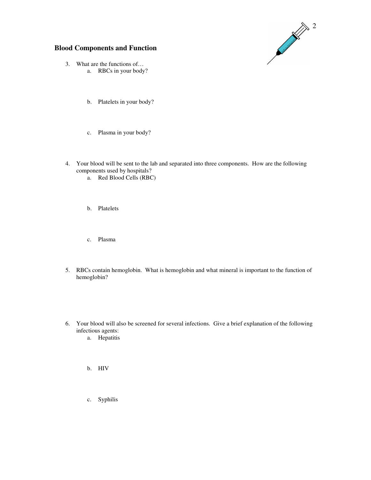

# **Blood Components and Function**

- 3. What are the functions of… a. RBCs in your body?
	- b. Platelets in your body?
	- c. Plasma in your body?
- 4. Your blood will be sent to the lab and separated into three components. How are the following components used by hospitals?
	- a. Red Blood Cells (RBC)
	- b. Platelets
	- c. Plasma
- 5. RBCs contain hemoglobin. What is hemoglobin and what mineral is important to the function of hemoglobin?
- 6. Your blood will also be screened for several infections. Give a brief explanation of the following infectious agents:
	- a. Hepatitis
	- b. HIV
	- c. Syphilis